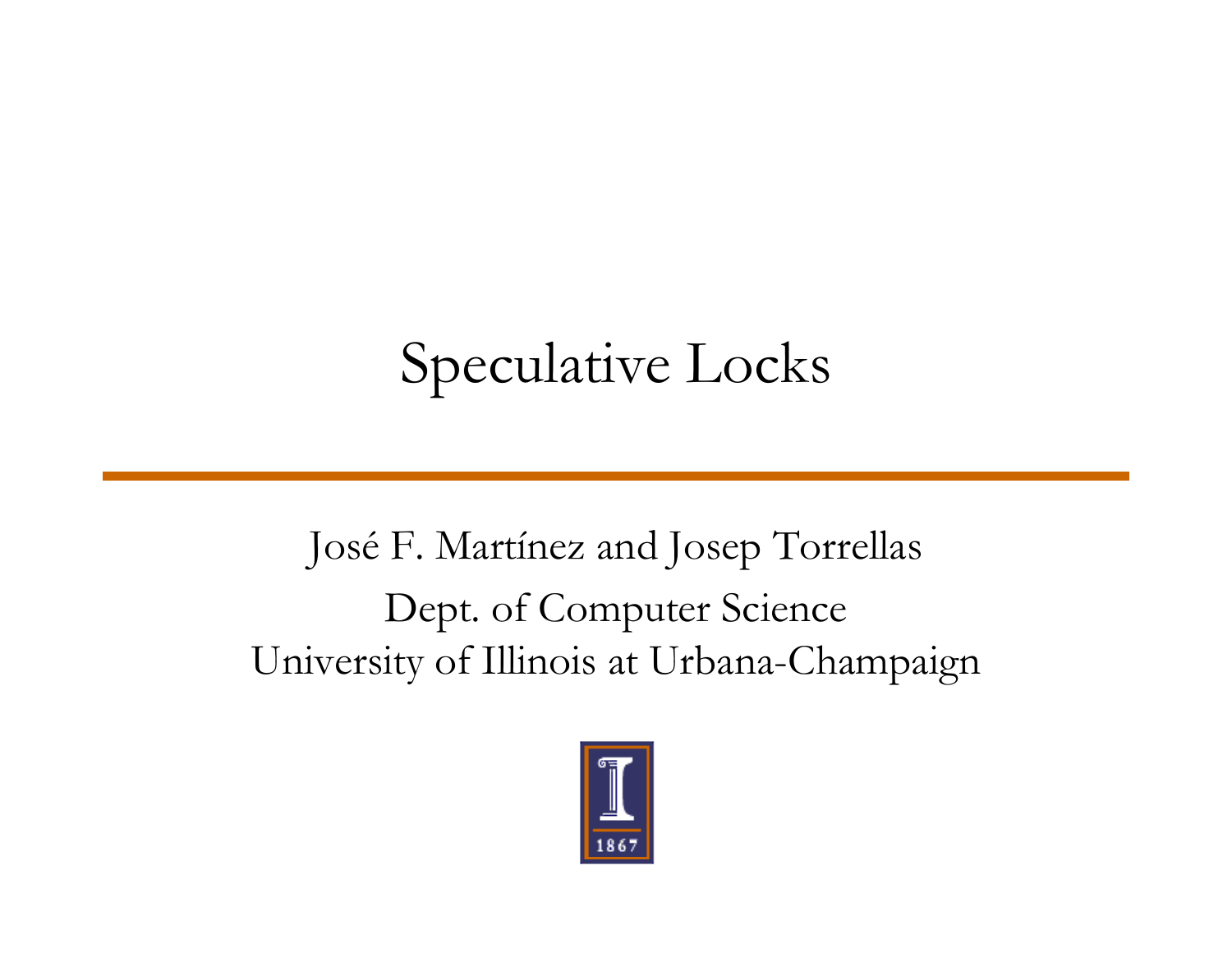# Speculative Locks

José F. Martínez and Josep Torrellas Dept. of Computer Science University of Illinois at Urbana-Champaign

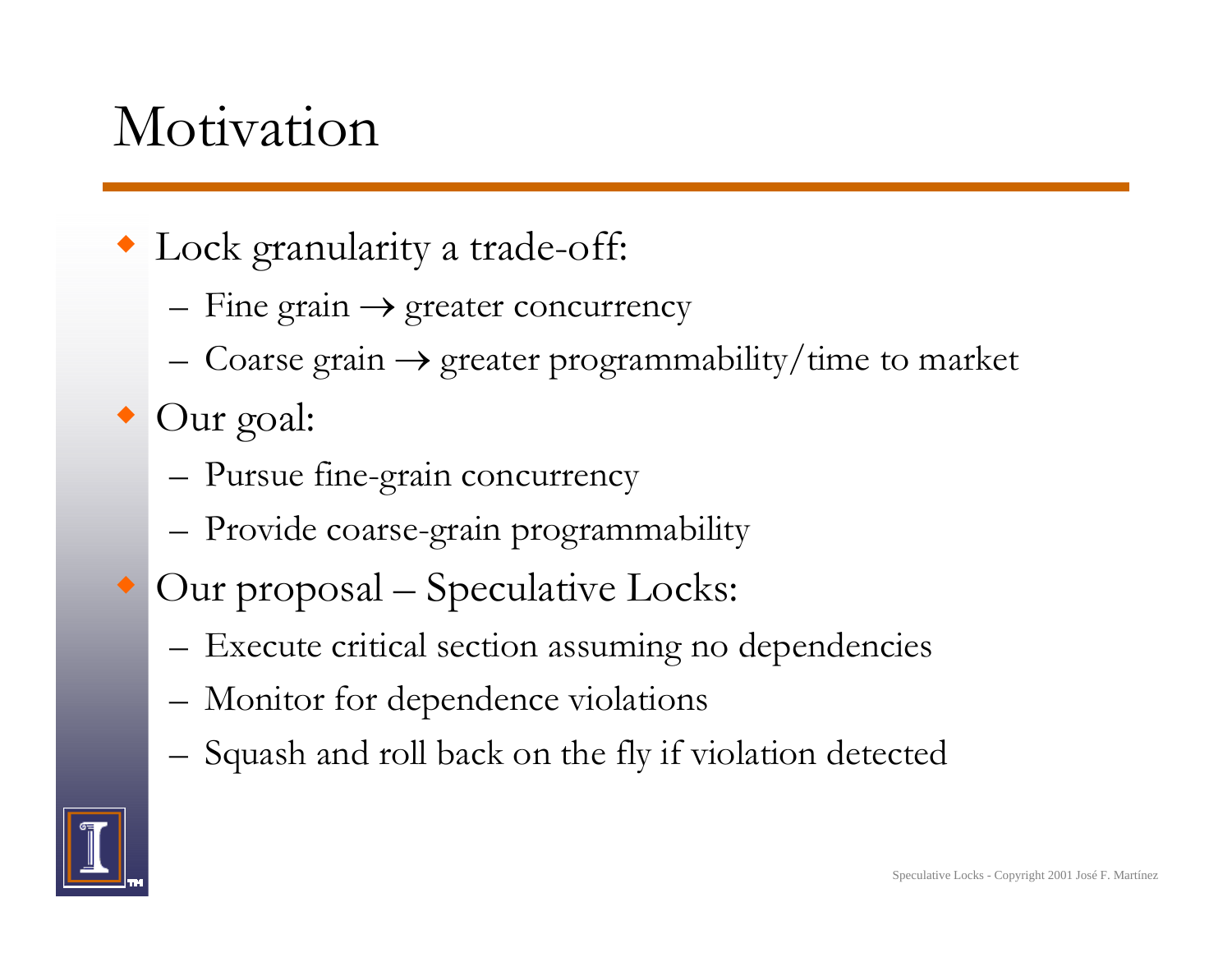#### Motivation

Lock granularity a trade-off:

- – $-$  Fine grain  $\rightarrow$  greater concurrency
- –Coarse grain  $\rightarrow$  greater programmability/time to market

 $\bullet$  Our goal:

- –Pursue fine-grain concurrency
- –– Provide coarse-grain programmability
- ♦ Our proposal – Speculative Locks:
	- – $-$  Execute critical section assuming no dependencies
	- –Monitor for dependence violations
	- –Squash and roll back on the fly if violation detected

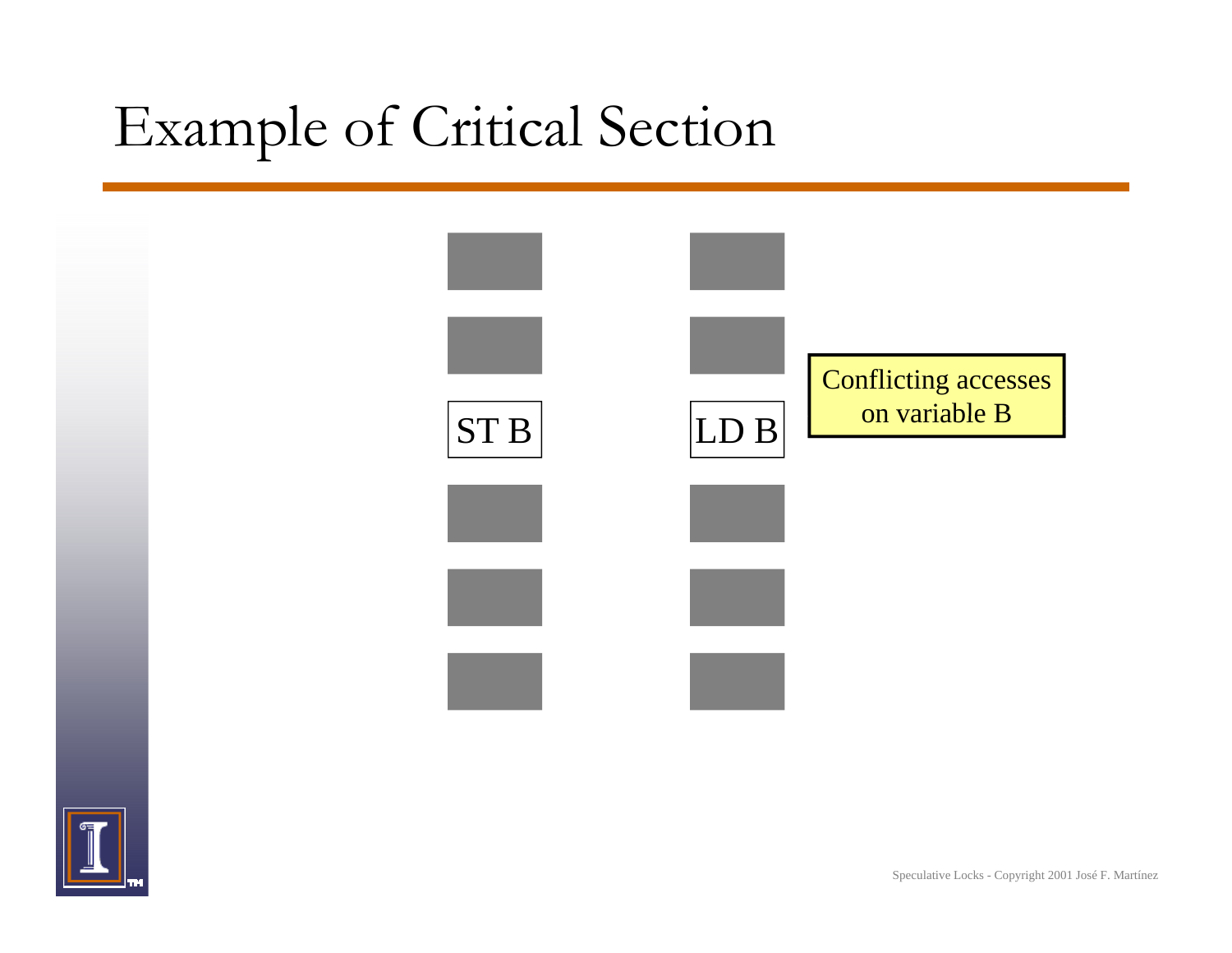### Example of Critical Section



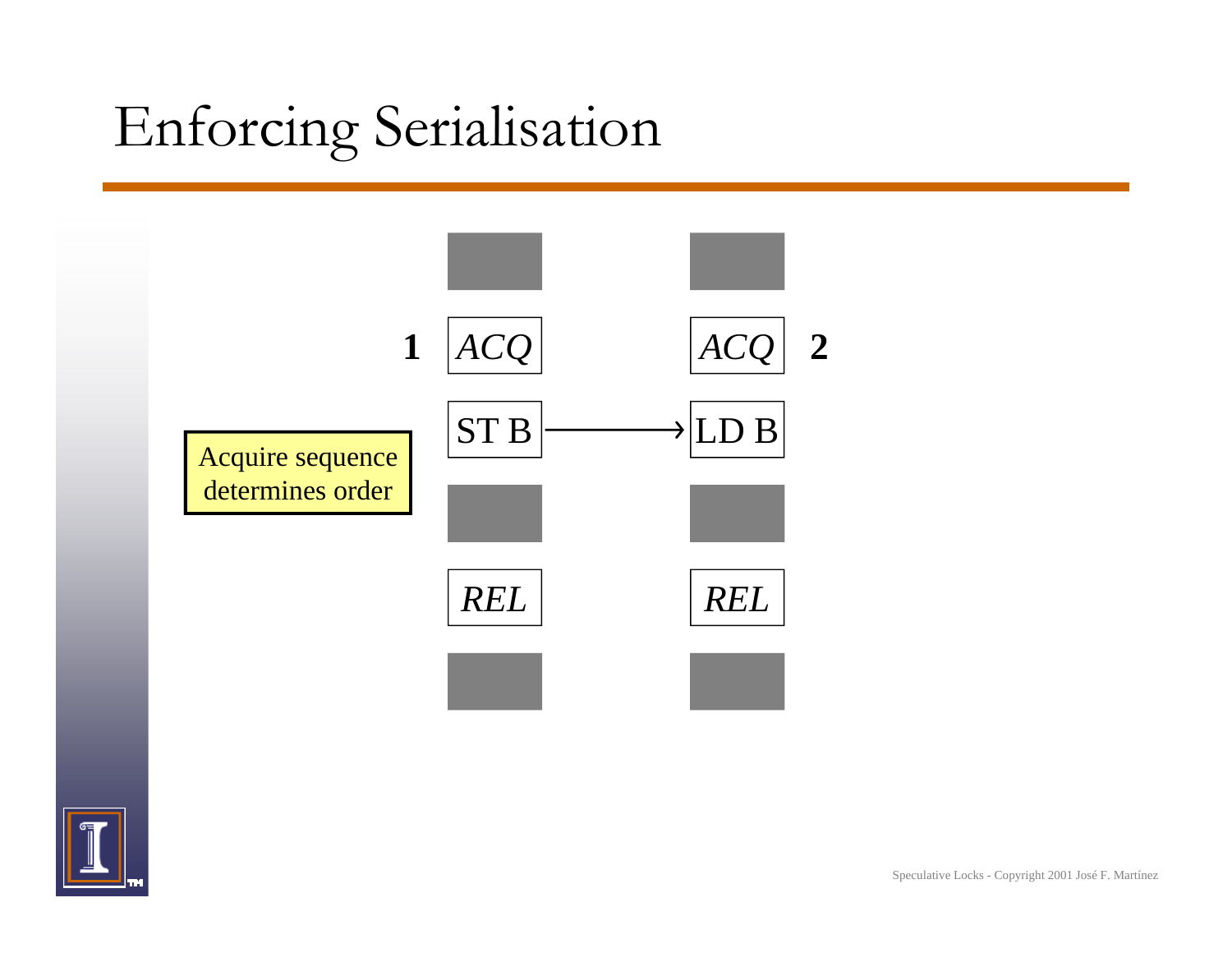# Enforcing Serialisation



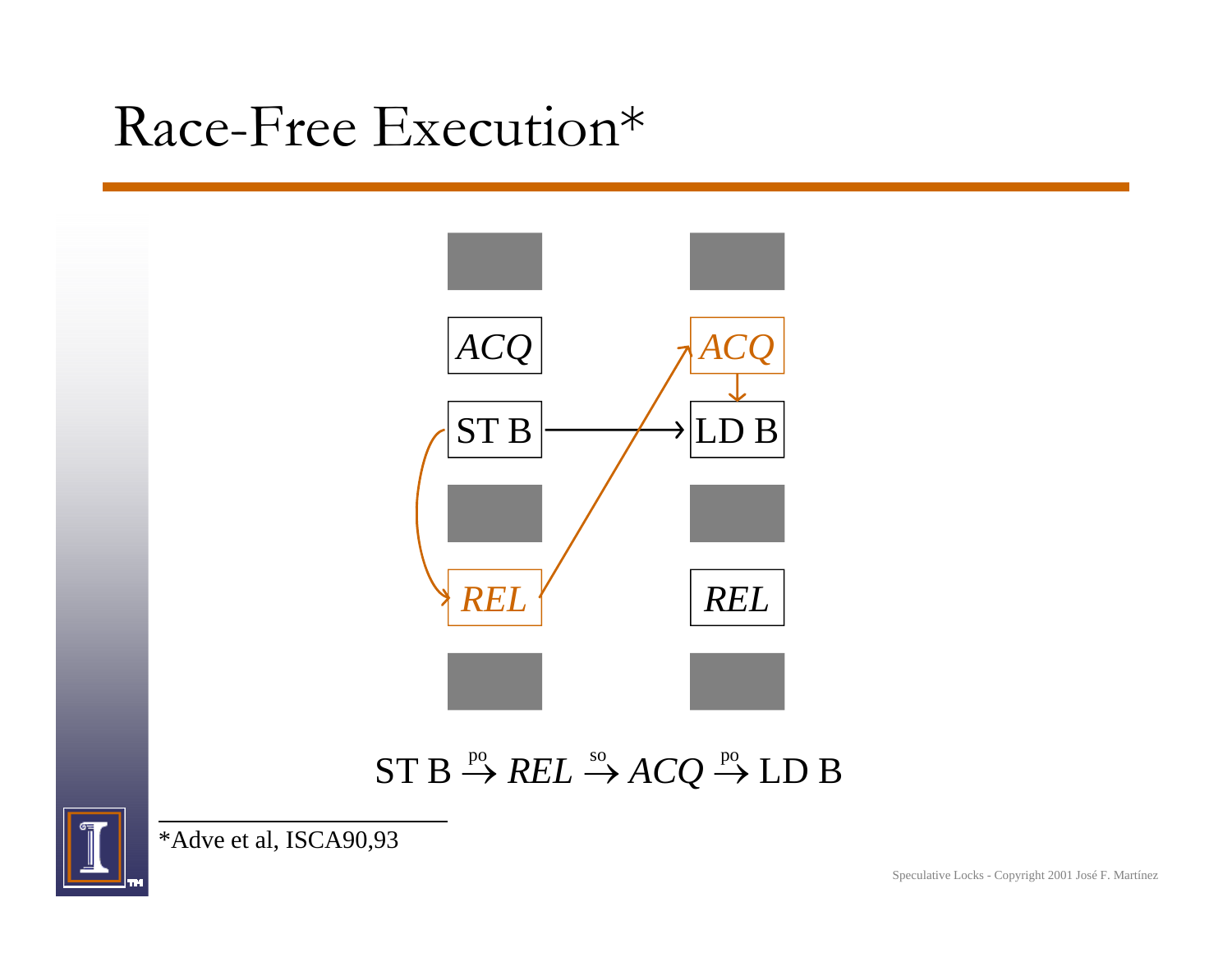#### Race-Free Execution\*



#### $ST\,B\stackrel{\mathrm{po}}{\rightarrow} REL\stackrel{\mathrm{so}}{\rightarrow} ACQ\stackrel{\mathrm{po}}{\rightarrow} L\mathrm{D}\,B$



\*Adve et al, ISCA90,93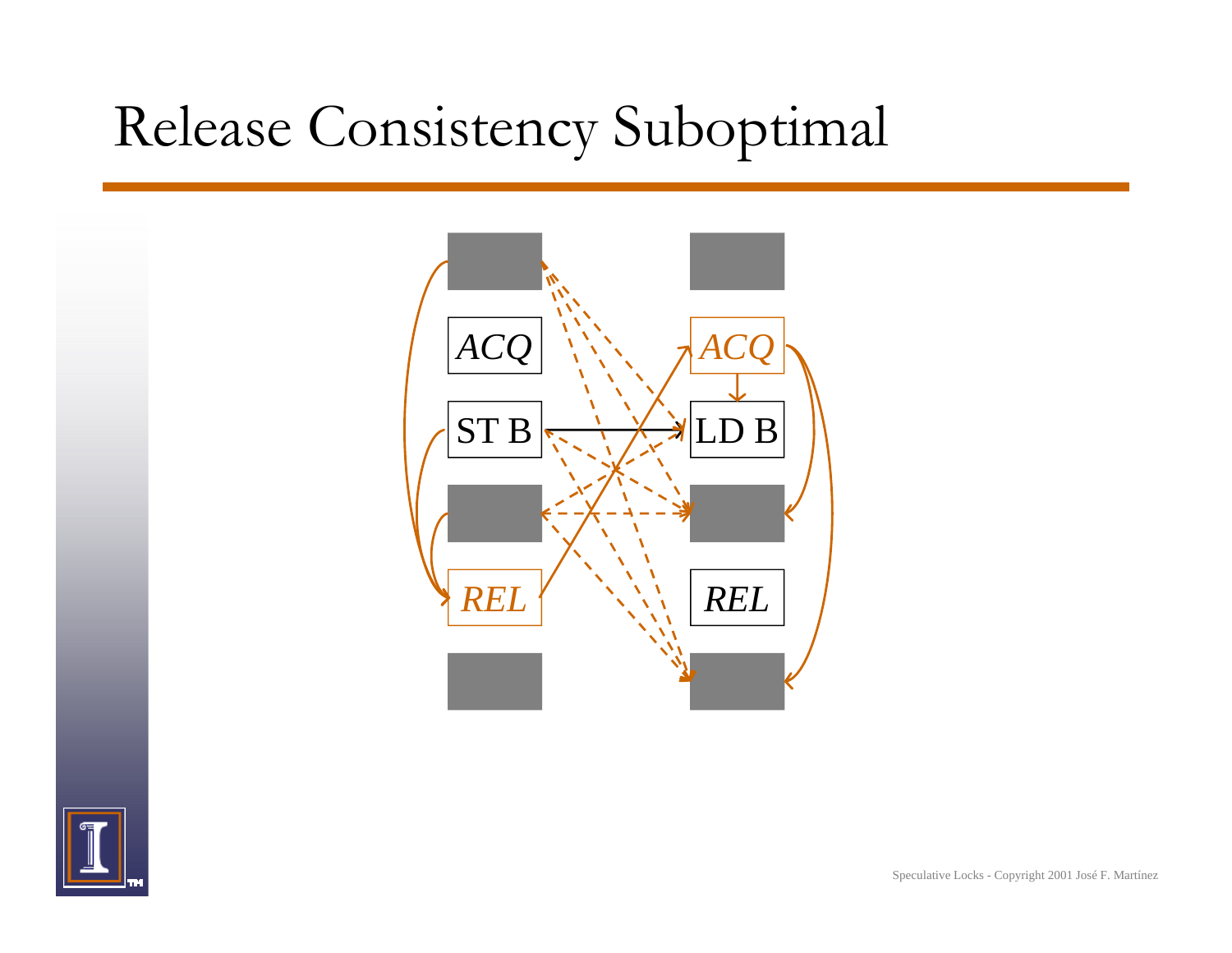#### Release Consistency Suboptimal



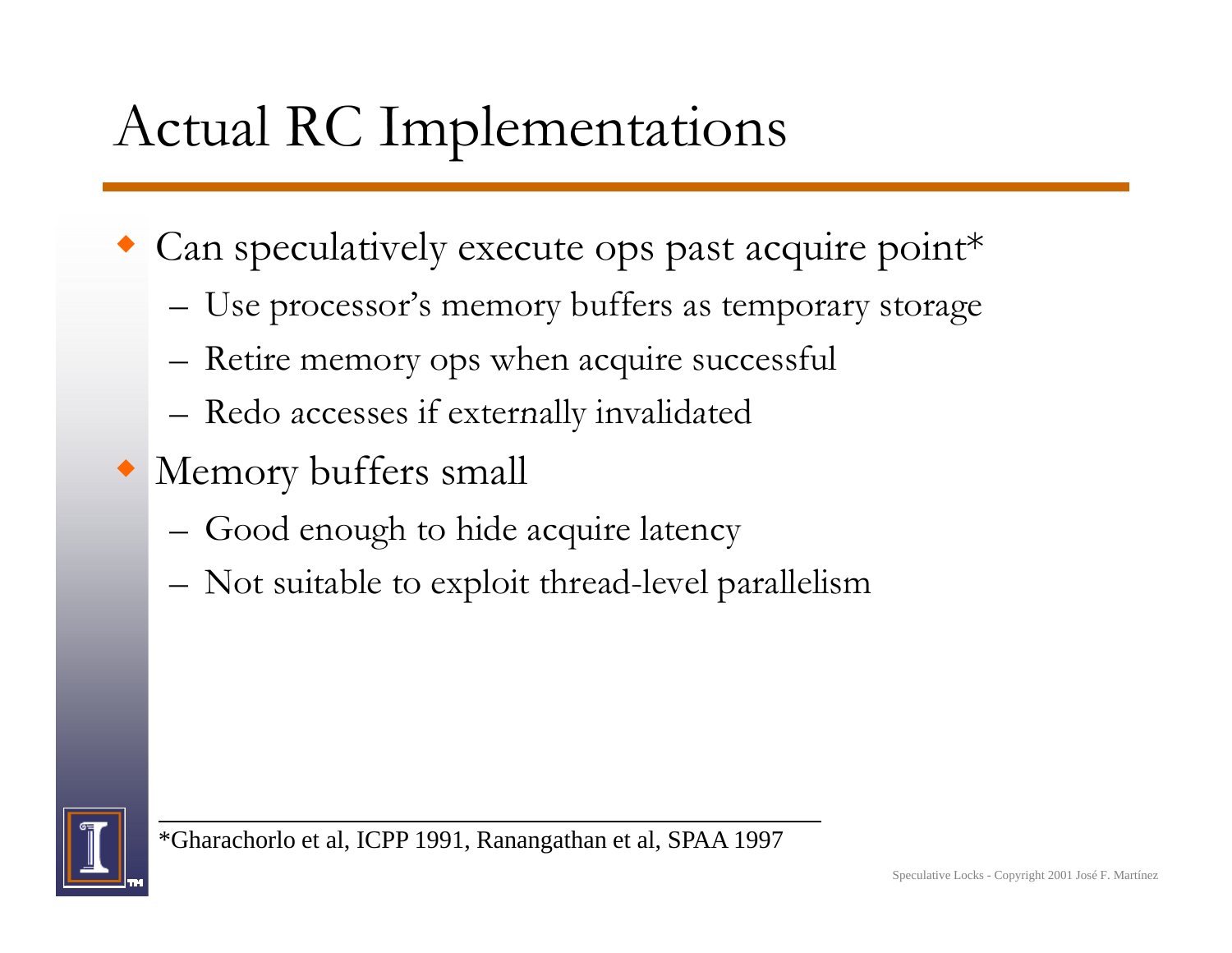# Actual RC Implementations

- Can speculatively execute ops past acquire point\*
	- –– Use processor's memory buffers as temporary storage
	- –Retire memory ops when acquire successful
	- –Redo accesses if externally invalidated
- Memory buffers small
	- –Good enough to hide acquire latency
	- –Not suitable to exploit thread-level parallelism



\*Gharachorlo et al, ICPP 1991, Ranangathan et al, SPAA 1997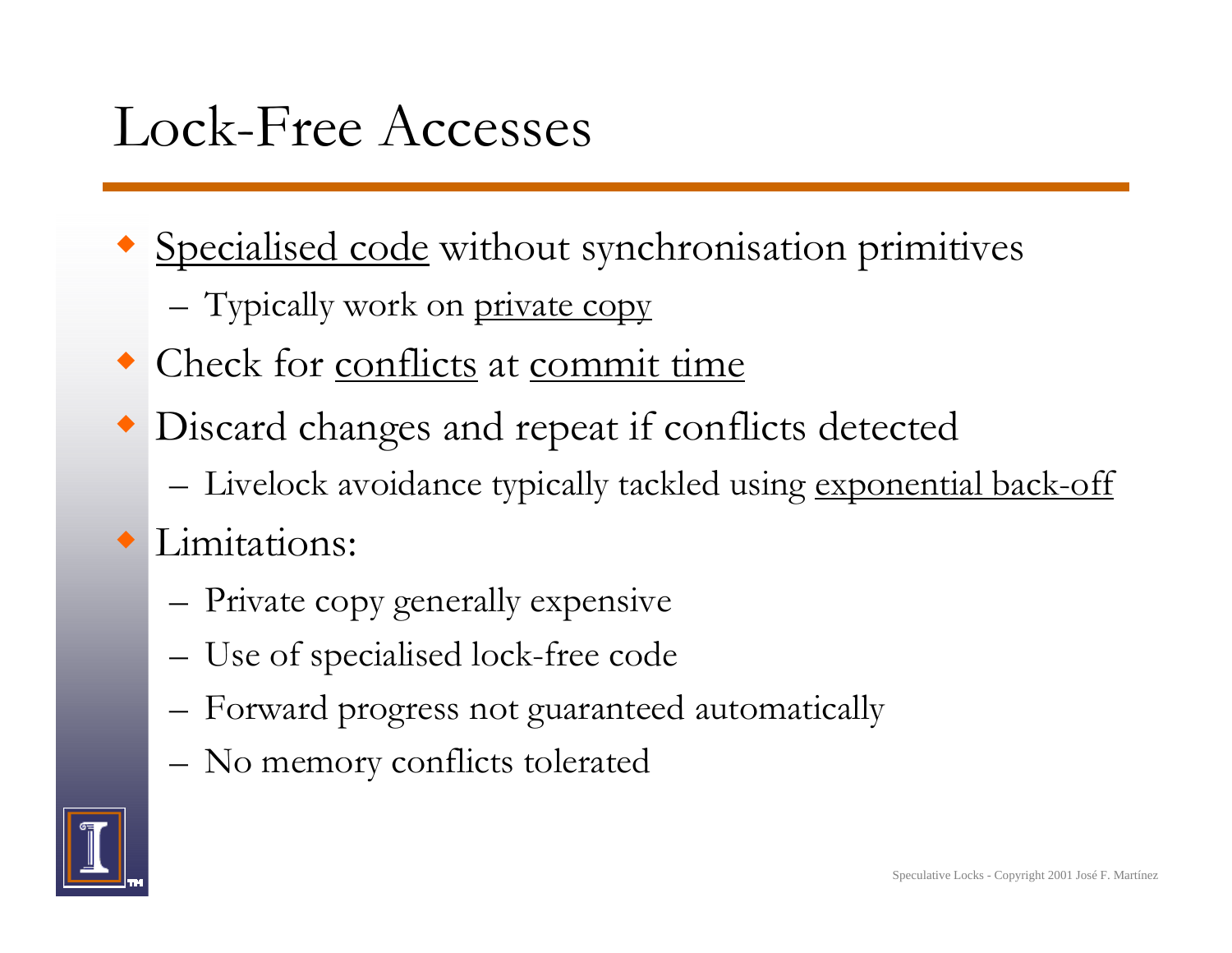#### Lock-Free Accesses

- Specialised code without synchronisation primitives
	- –– Typically work on <u>private copy</u>
- Check for conflicts at commit time
- Discard changes and repeat if conflicts detected
	- –Livelock avoidance typically tackled using <u>exponential back-off</u>

#### • Limitations:

- –Private copy generally expensive
- –– Use of specialised lock-free code
- –Forward progress not guaranteed automatically
- No memor y conflicts tolerated

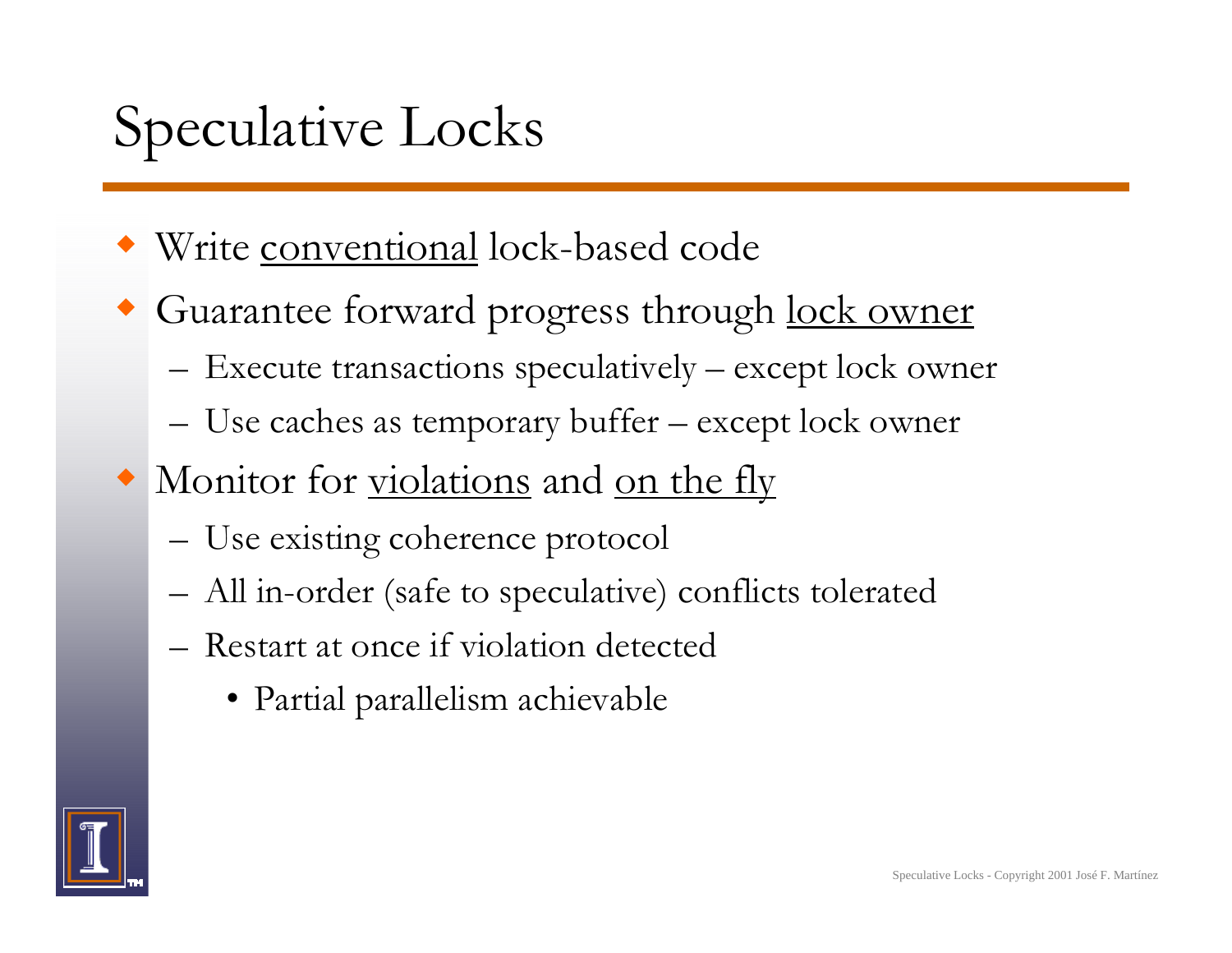## Speculative Locks

- Write conventional lock-based code
- Guarantee forward progress through lock owner
	- Execute transactions speculatively except lock owner
	- Use caches as temporary buffer – except lock owner
- Monitor for <u>violations</u> and <u>on the fly</u>
	- Use existing coherence protocol
	- All in-order (safe to speculative) conflicts tolerated
	- Restart at once if violation detected
		- Partial parallelism achievable

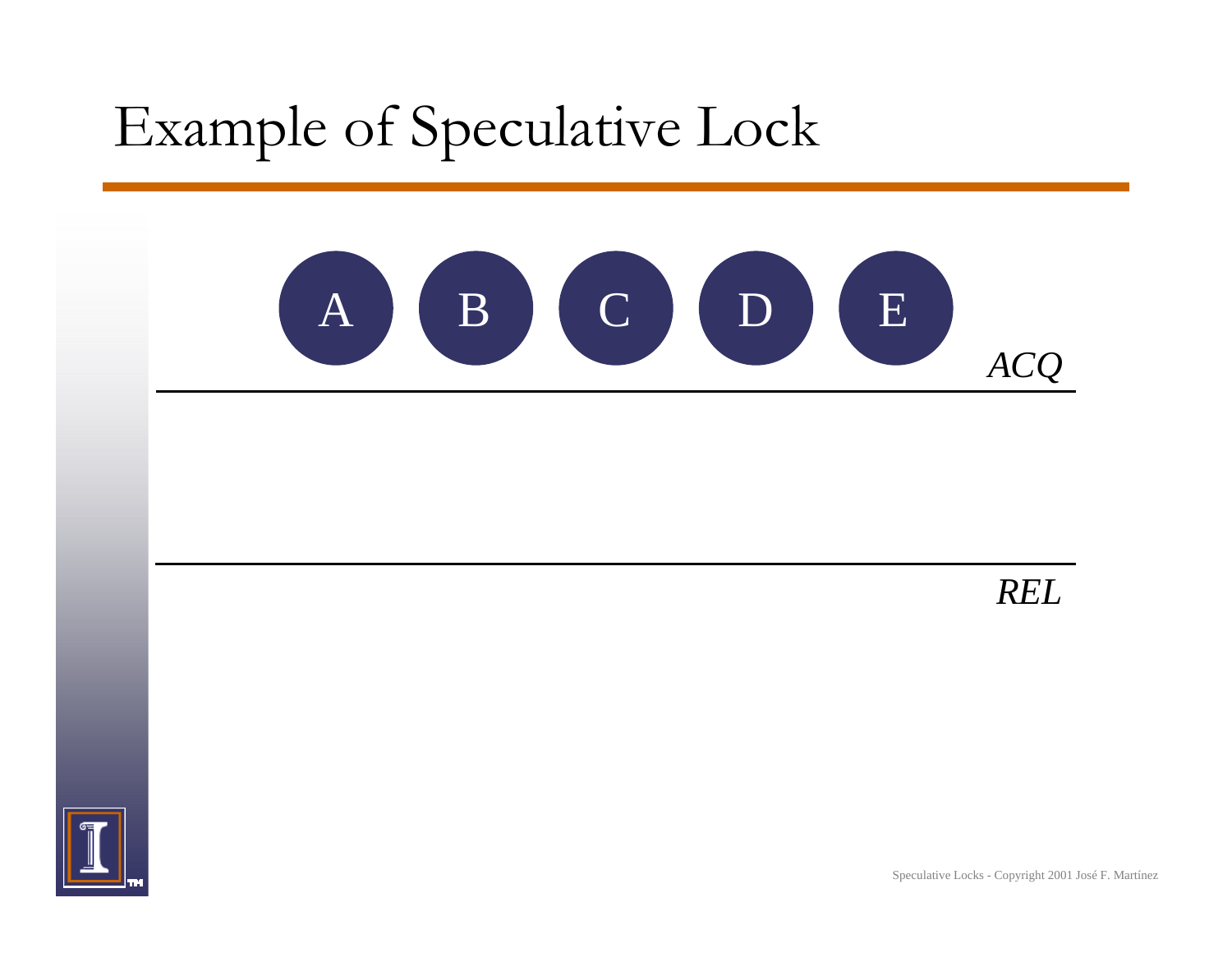

*REL*

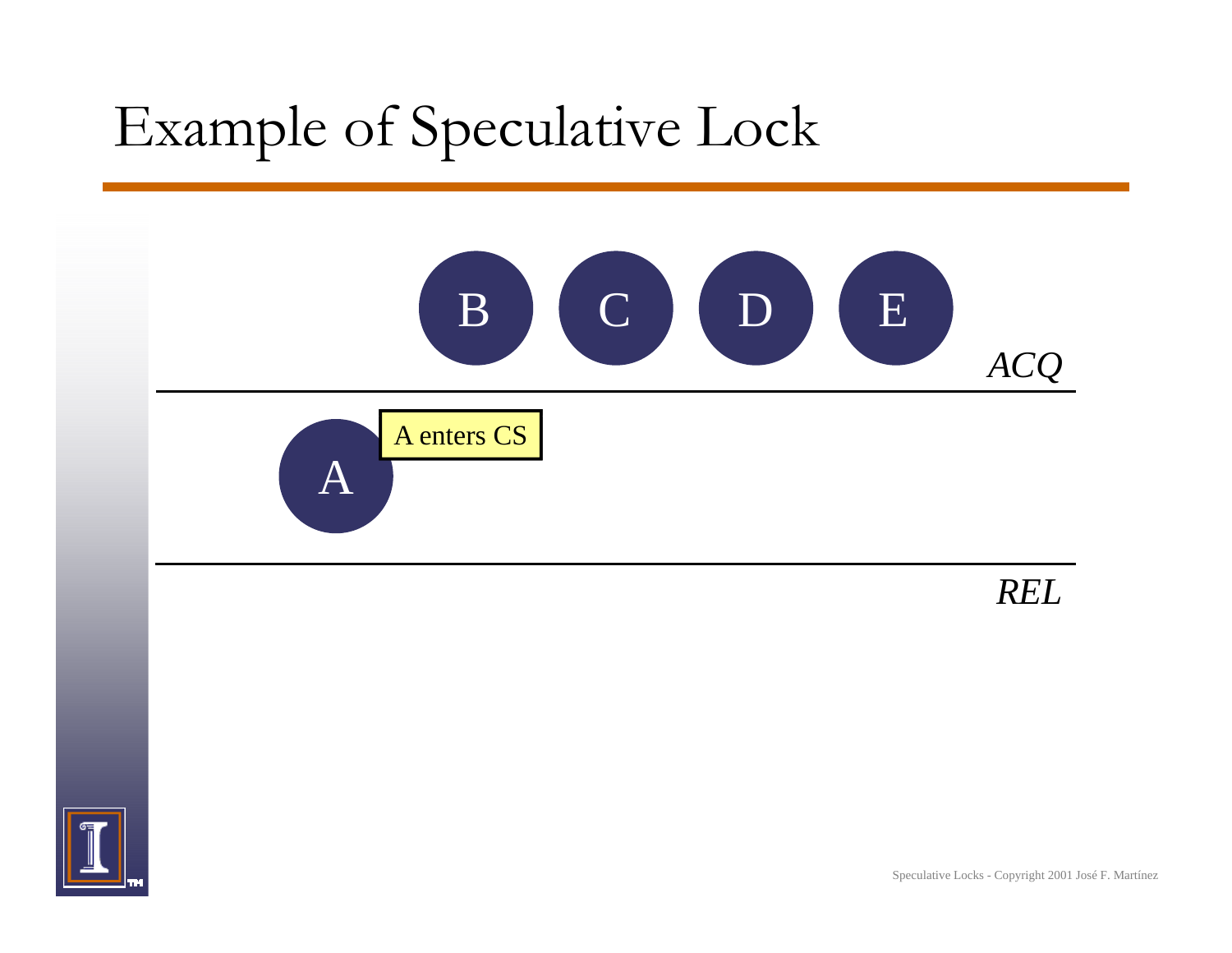

*REL*

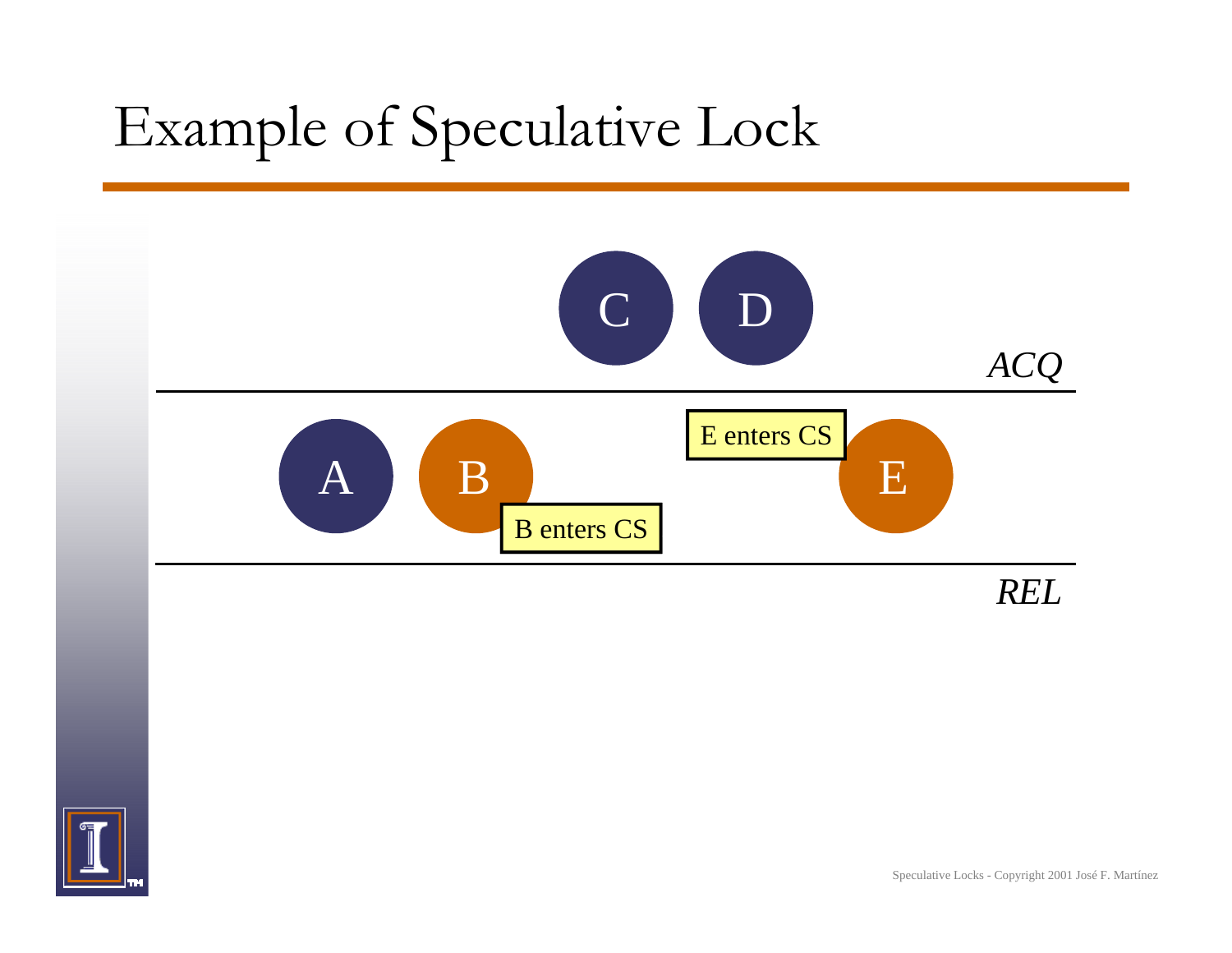

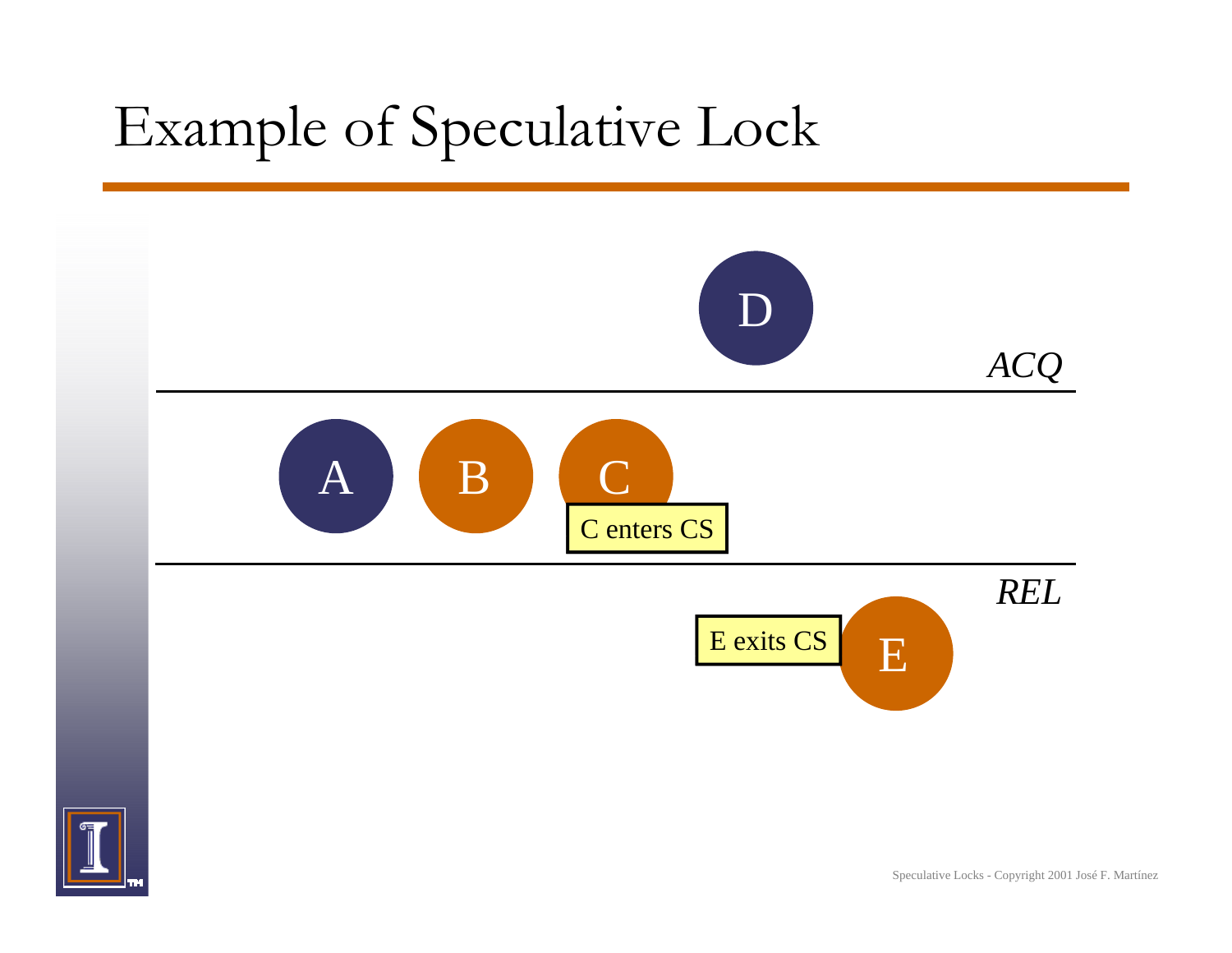

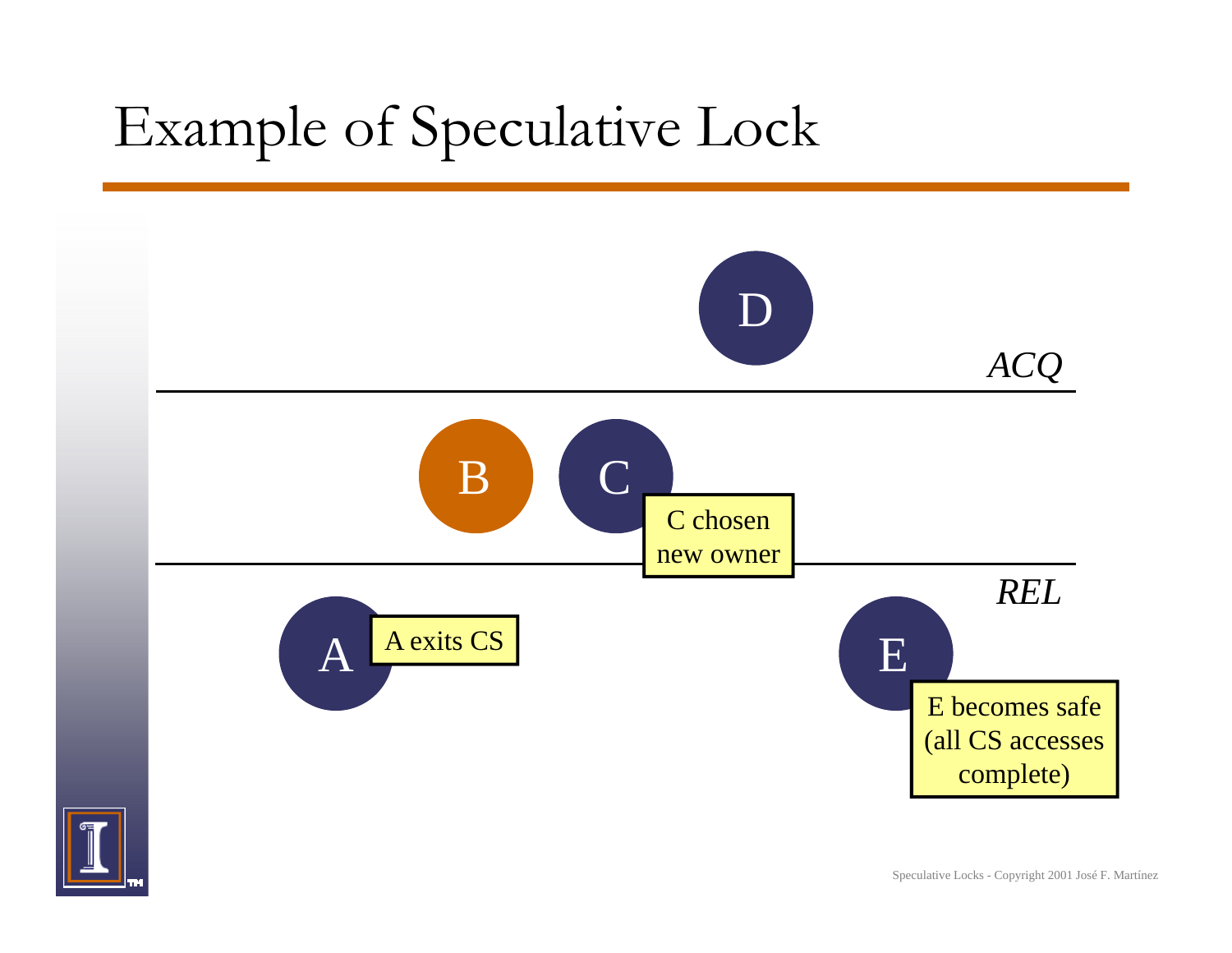

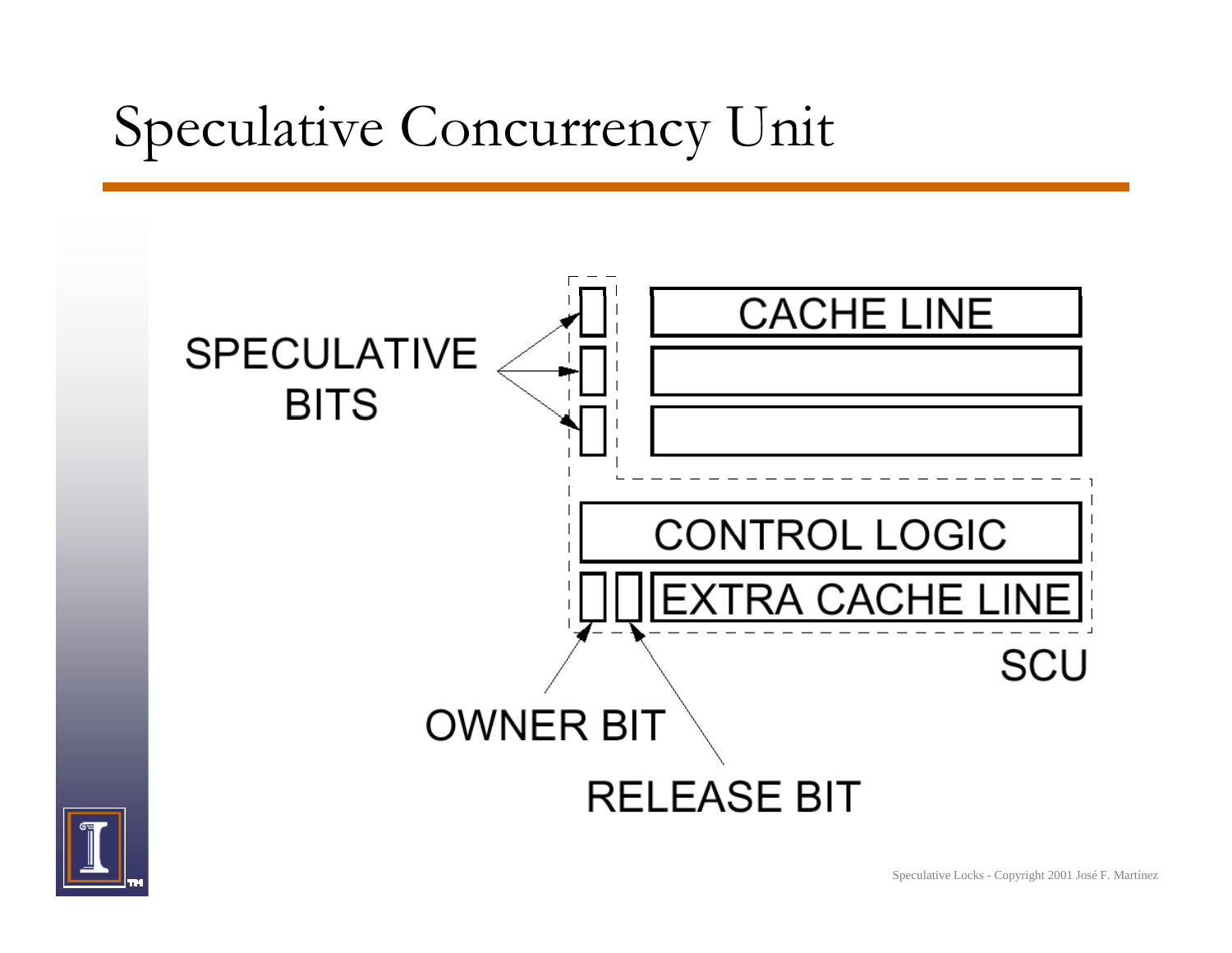# Speculative Concurrency Unit



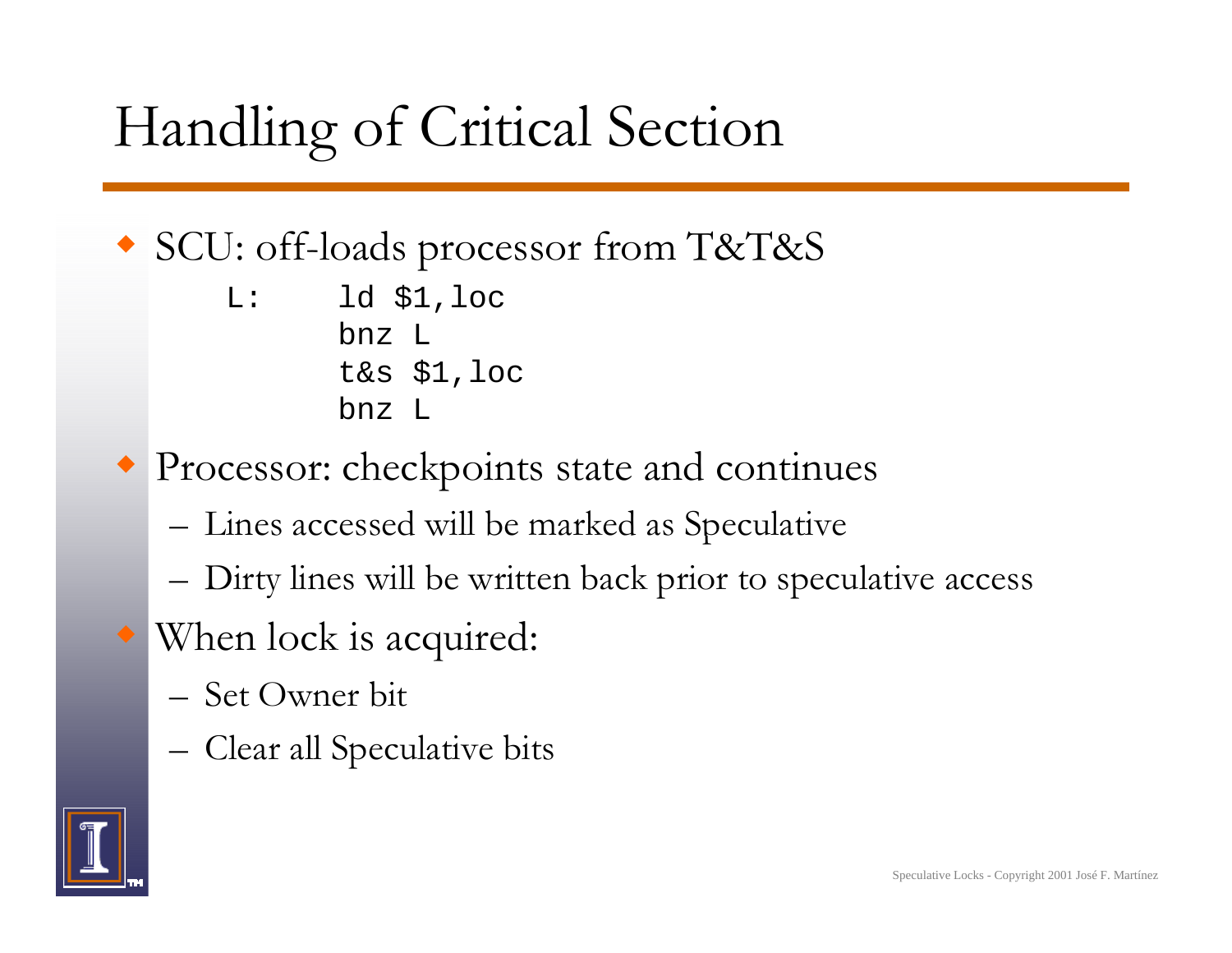# Handling of Critical Section

#### SCU: off-loads processor from T&T&S

L: $ld$   $$1,loc$ bnz Lt&s \$1,loc bnz L

- Processor: checkpoints state and continues
	- –– Lines accessed will be marked as Speculative
	- –Dirty lines will be written back prior to speculative access
- When lock is ac quired:
	- Set Owner bit
	- –Clear all Speculative bits

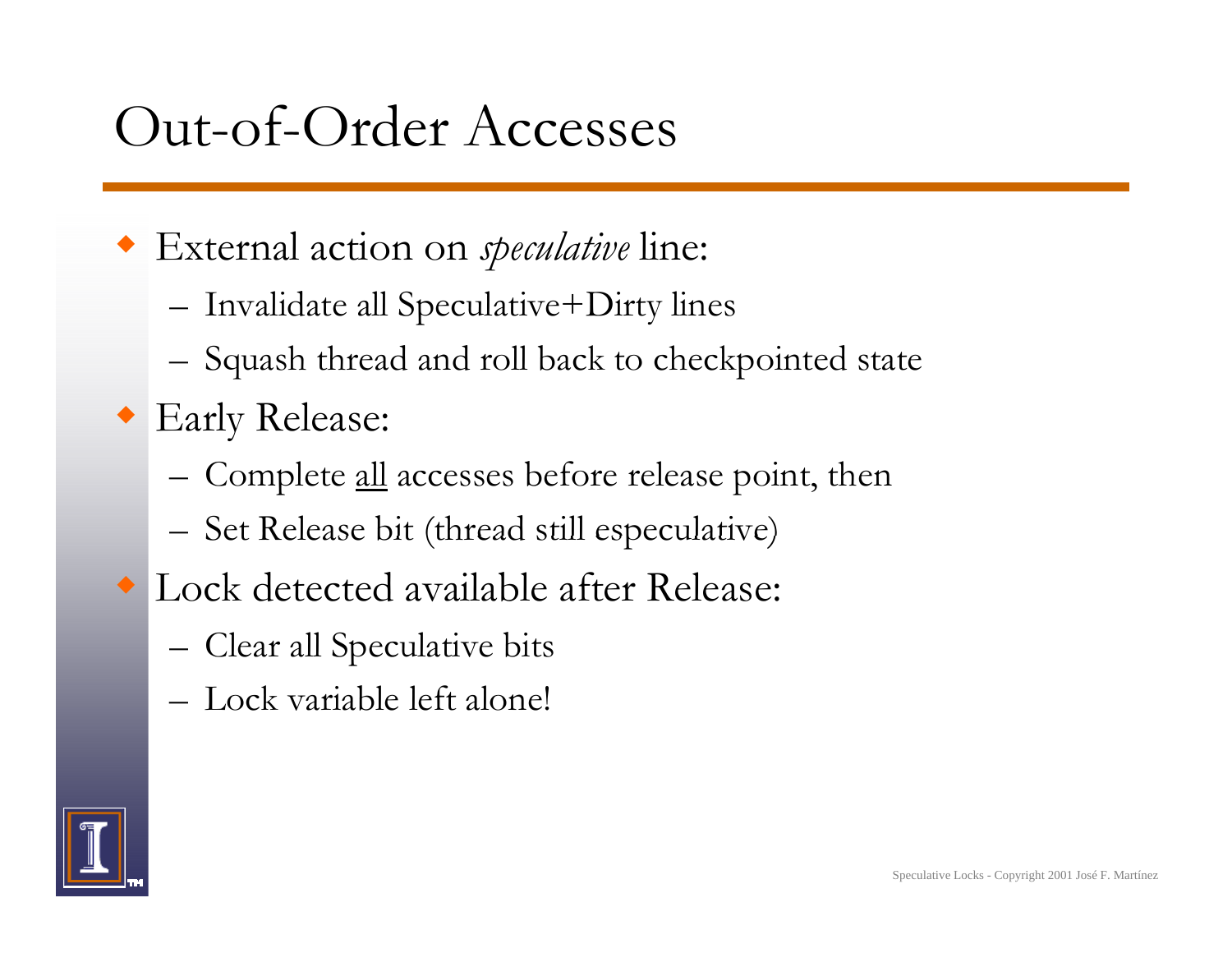#### Out-of-Order Accesses

- External action on *speculative* line:
	- Invalidate all Speculative+Dirty lines
	- –Squash thread and roll back to checkpointed state
- Early Release:
	- –Complete all accesses before release point, then
	- –Set Release bit (thread still especulative)
- Lock detected available after Release:
	- –Clear all Speculative bits
	- Lock variable left alone!

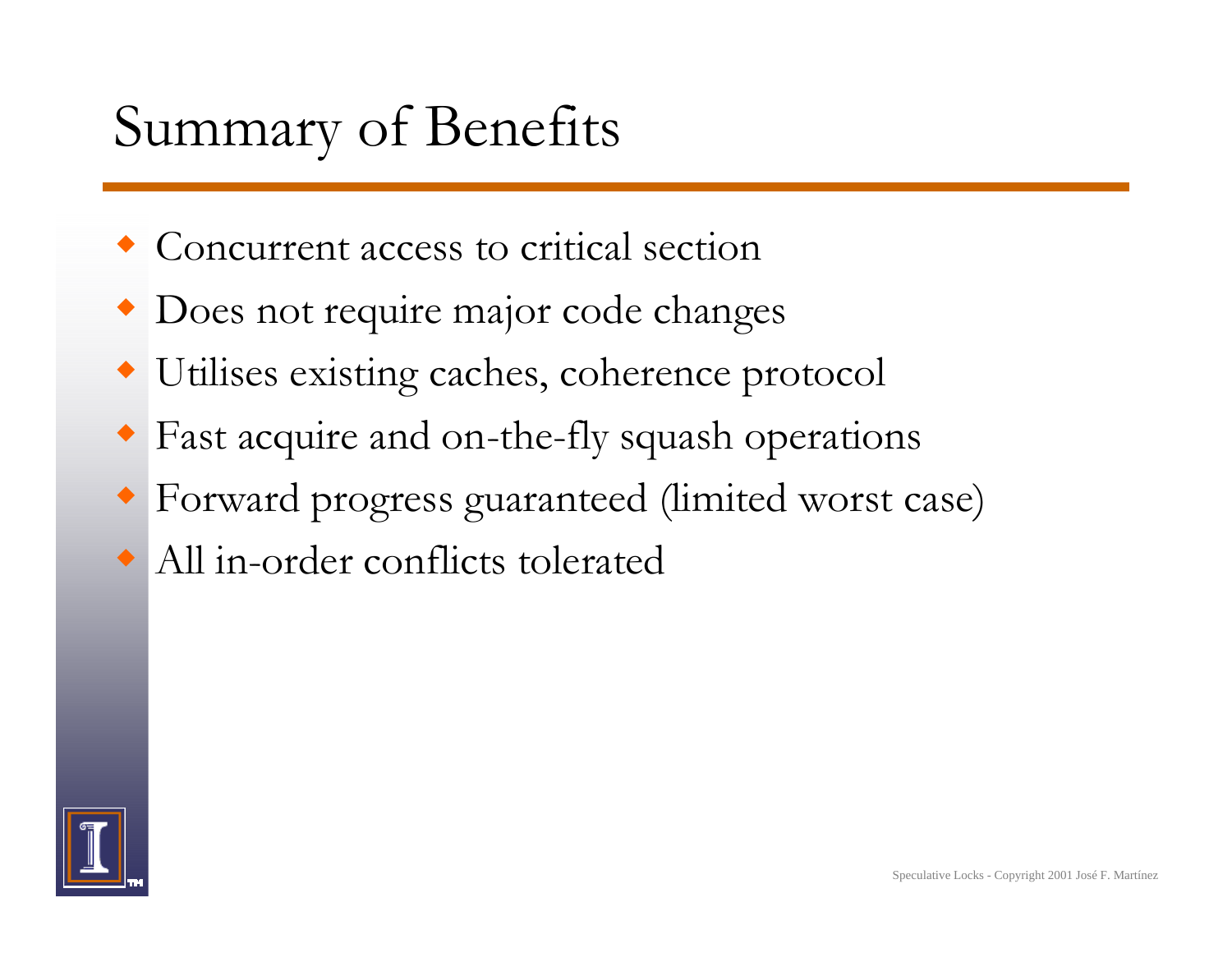# Summary of Benefits

- Concurrent access to critical section
- Does not require major code changes
- Utilises existing caches, coherence protocol
- Fast acquire and on-the-fly squash operations
- Forward progress guaranteed (limited worst case)
- All in-order conflicts tolerated

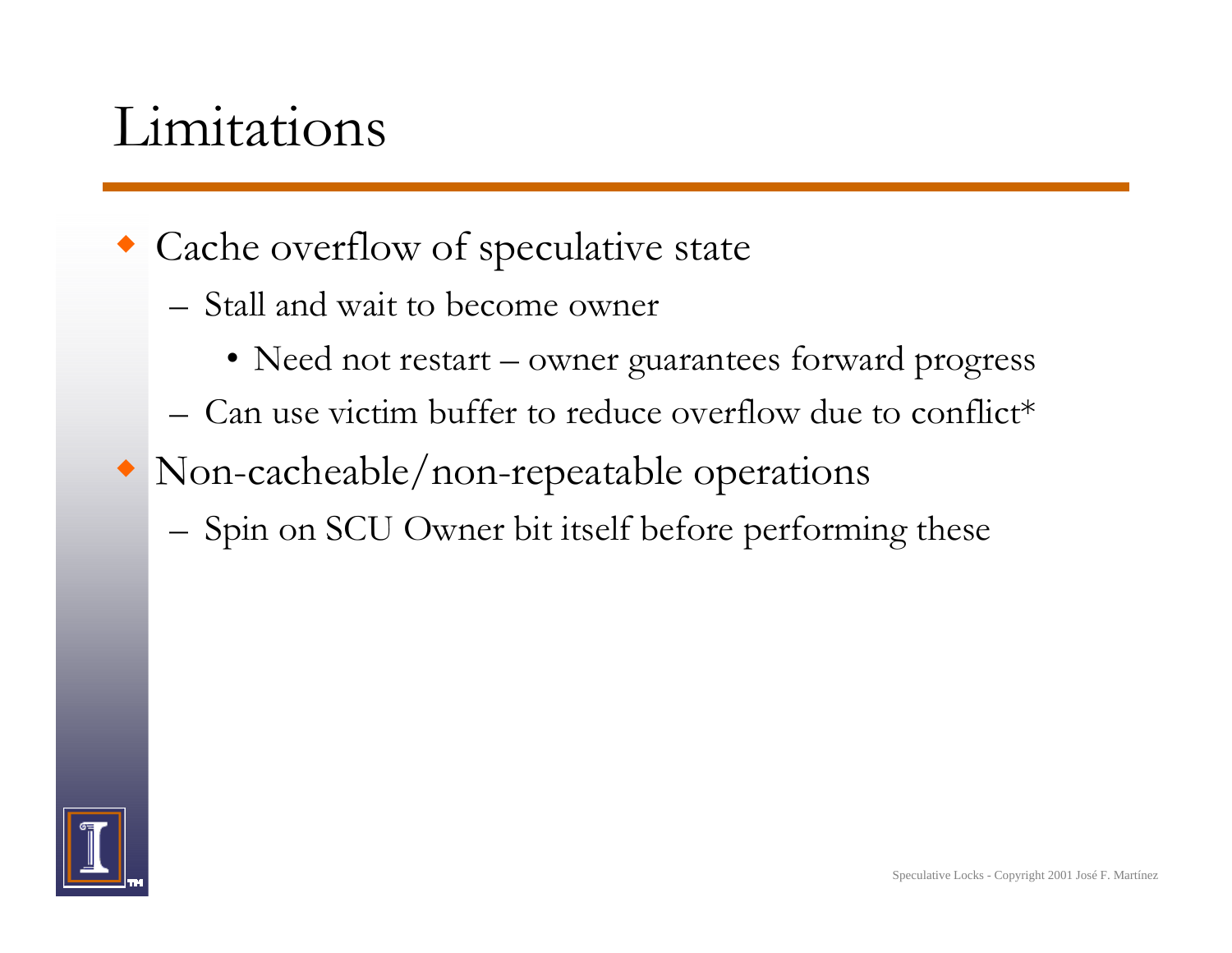#### Limitations

- Cache overflow of speculative state
	- Stall and wait to become owner
		- Need not restart owner guarantees forward progress
	- Can use victim buffer to reduce overflow due to conflict\*
- Non-cacheable/non-repeatable operations
	- –Spin on SCU Owner bit itself before performing these

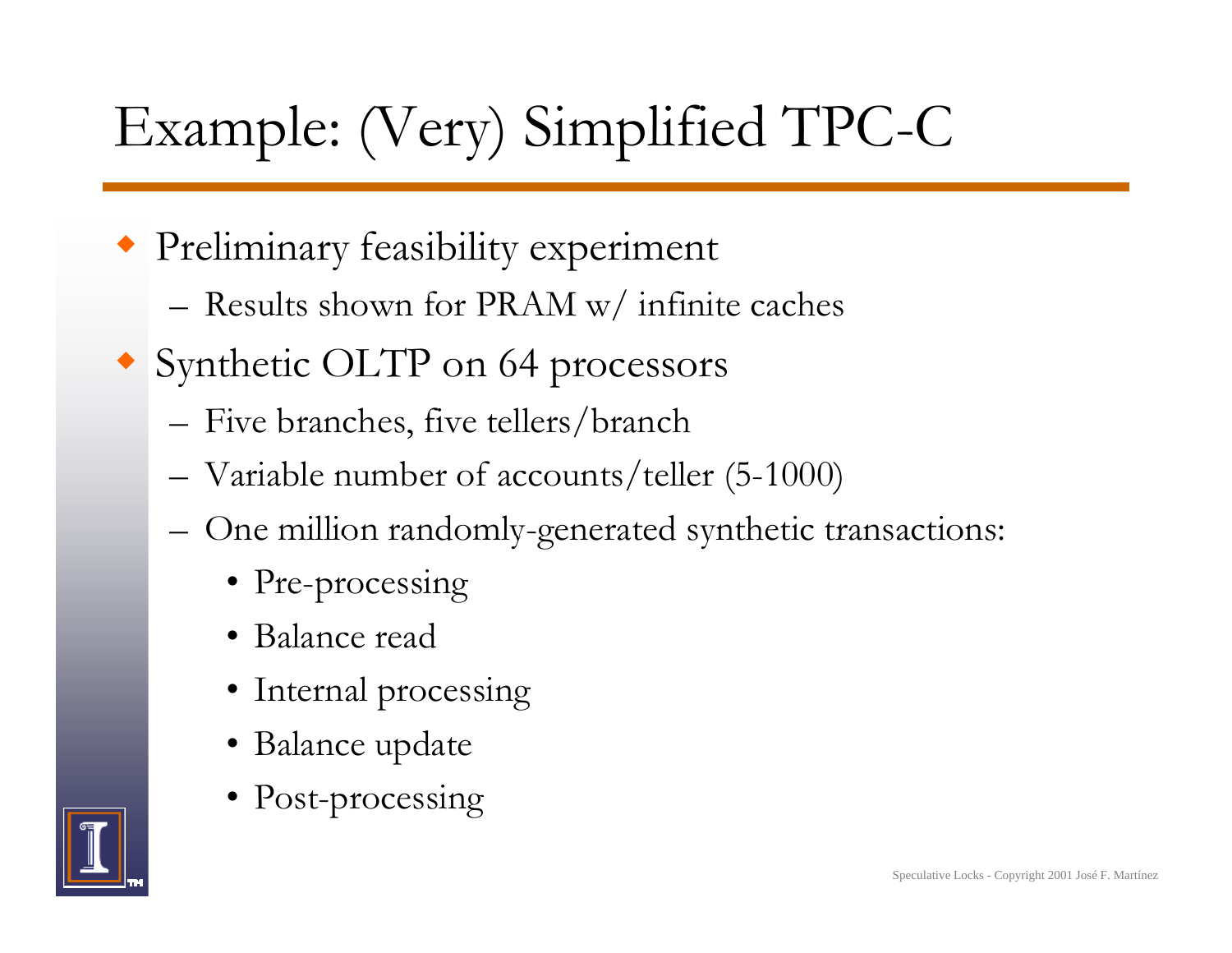# Example: (Very) Simplified TPC-C

- Preliminary feasibility experiment
	- Results shown for PRAM w/ infinite caches
- Synthetic OLTP on 64 processors
	- Five branches, five tellers/branch
	- –Variable number of accounts/teller (5-1000)
	- –– One million randomly-generated synthetic transactions:
		- Pre-processing
		- Balance read
		- Internal processing
		- Balance update
		- Post-processing

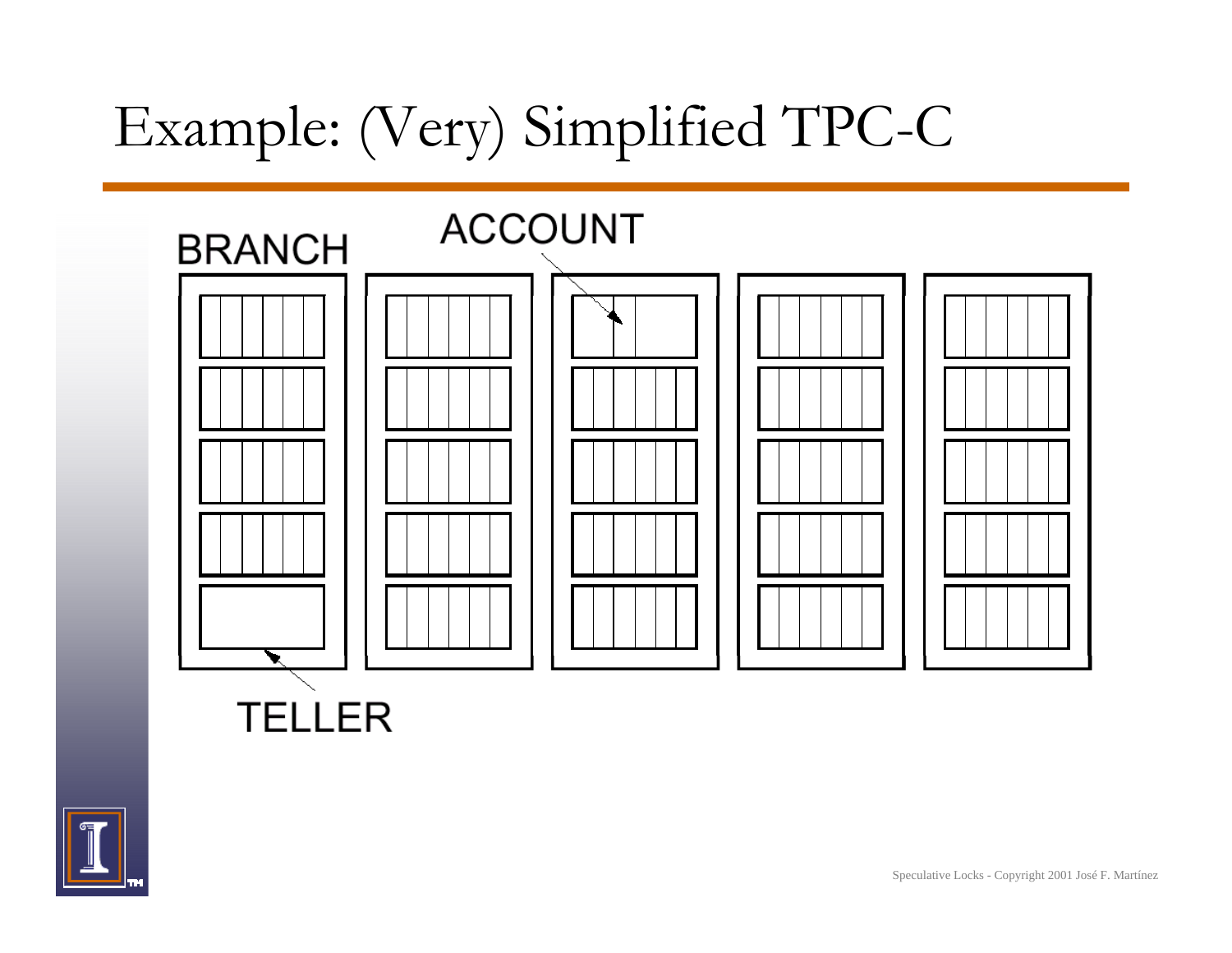### Example: (Very) Simplified TPC-C





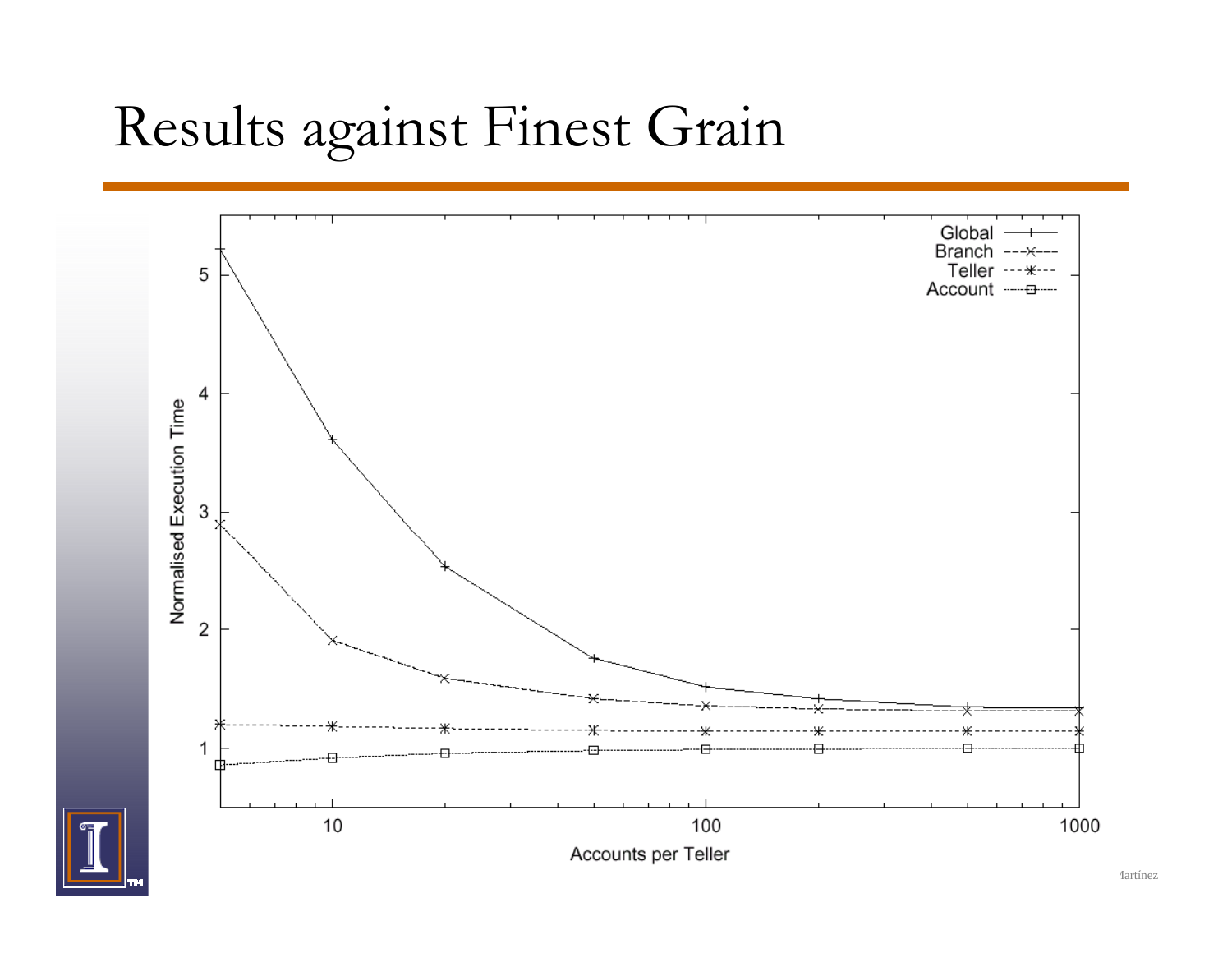#### Results against Finest Grain

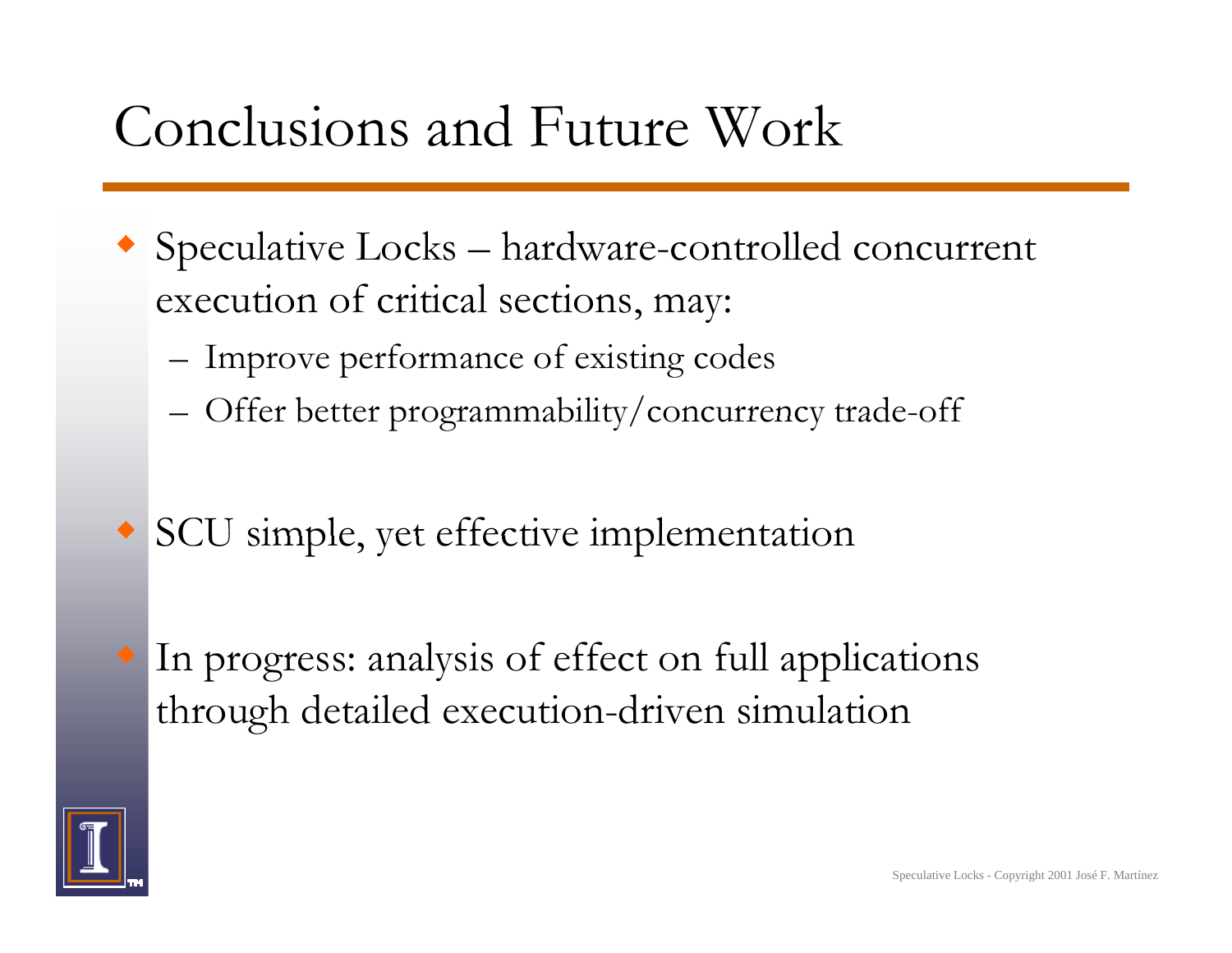#### Conclusions and Future Work

- Speculative Locks hardware-controlled concurrent execution of critical sections, may:
	- –Improve performance of existing codes
	- –- Offer better programmability/concurrency trade-off
- SCU simple, yet effective implementation
	- In progress: analysis of effect on full applications through detailed execution-driven simulation

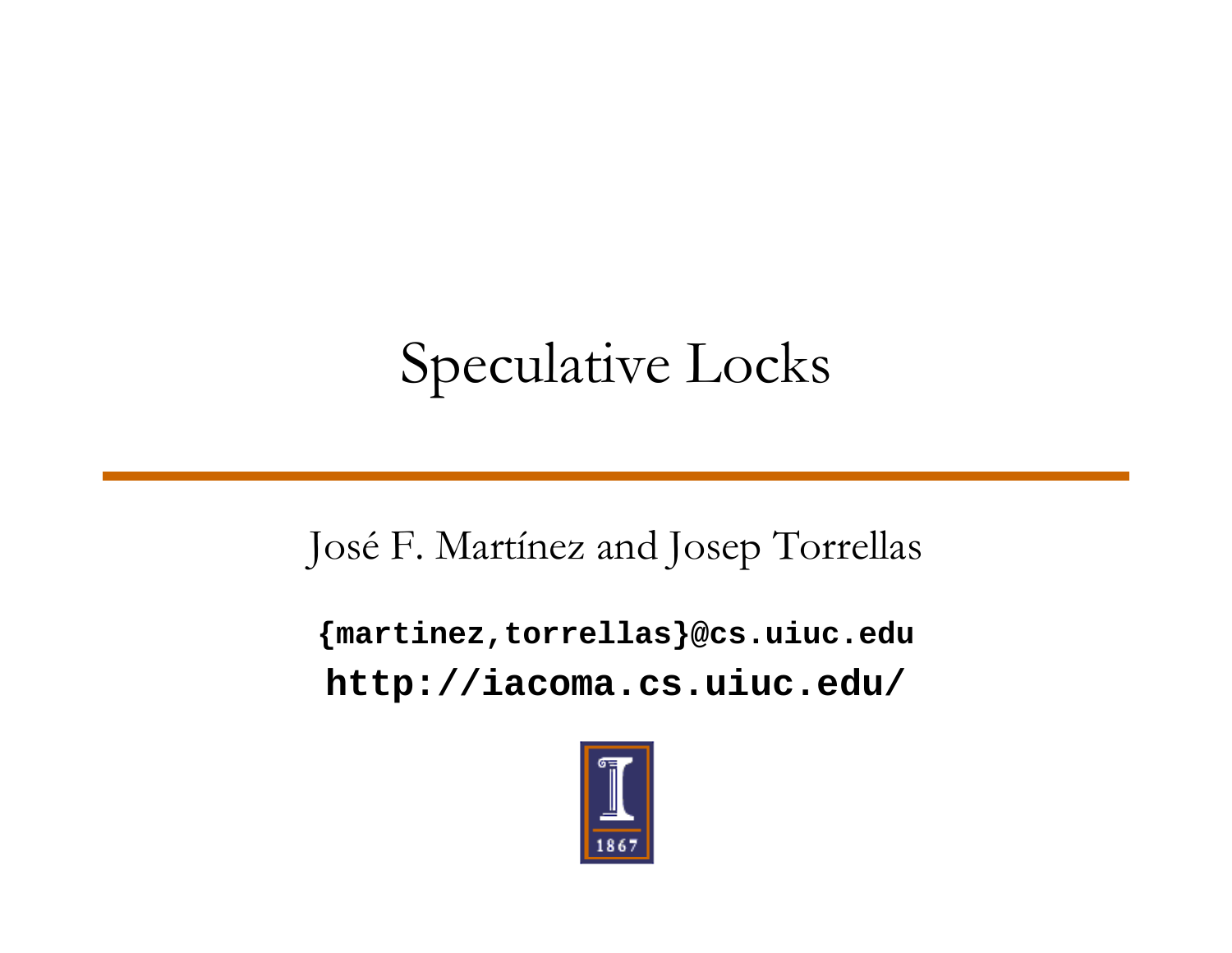#### Speculative Locks

#### José F. Martínez and Josep Torrellas

**{martinez,torrellas}@cs.uiuc.edu http://iacoma.cs.uiuc.edu/**

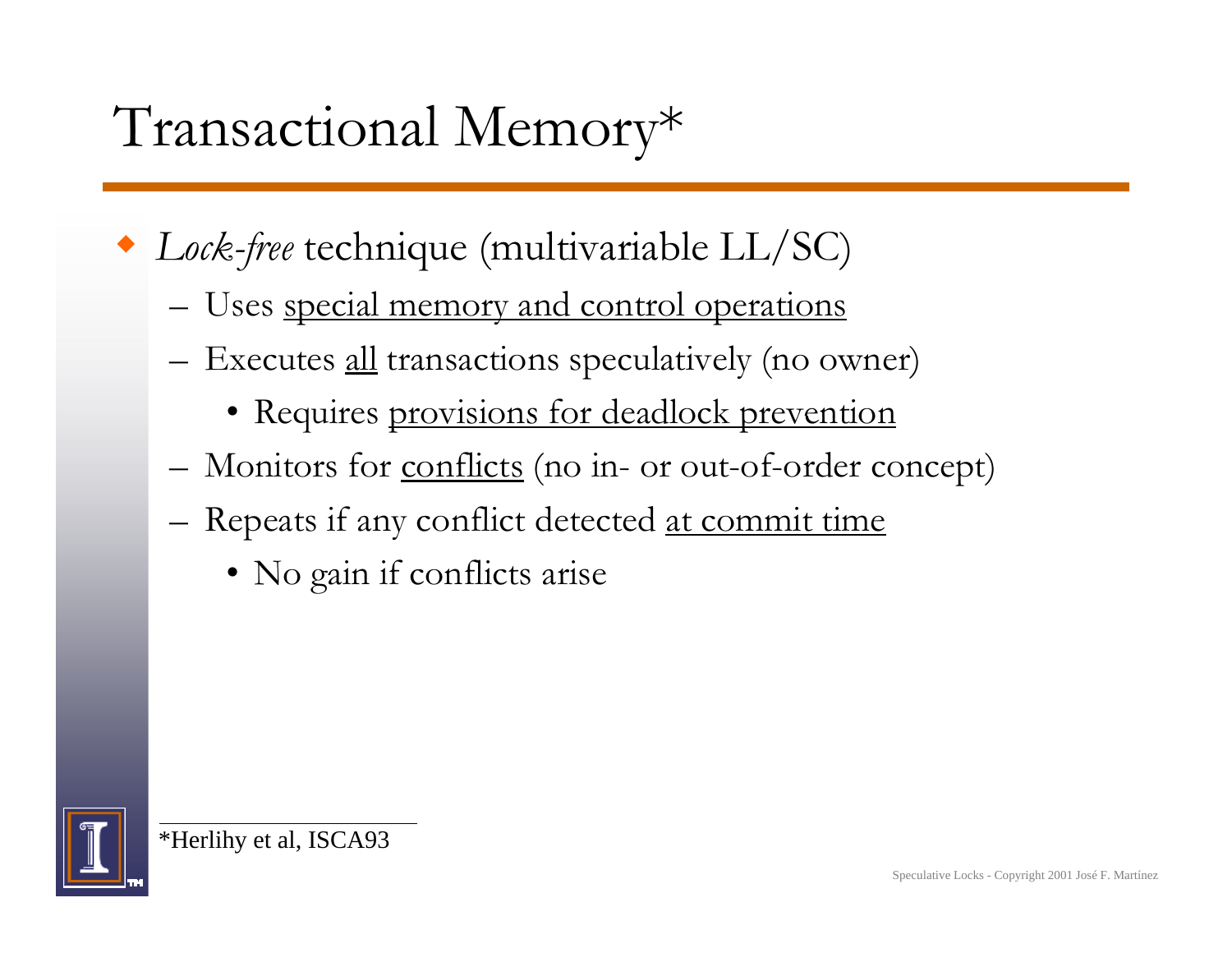#### Transactional Memory\*

- *Lock-free* technique (multivariable LL/SC)
	- Uses <u>special memory and control operations</u>
	- –Executes <u>all</u> transactions speculatively (no owner)
		- Requires provisions for deadlock prevention
	- Monitors for <u>conflicts</u> (no in- or out-of-order concept)
	- Repeats if any conflict detected <u>at commit time</u>
		- No gain if conflicts arise



\*Herlihy et al, ISCA93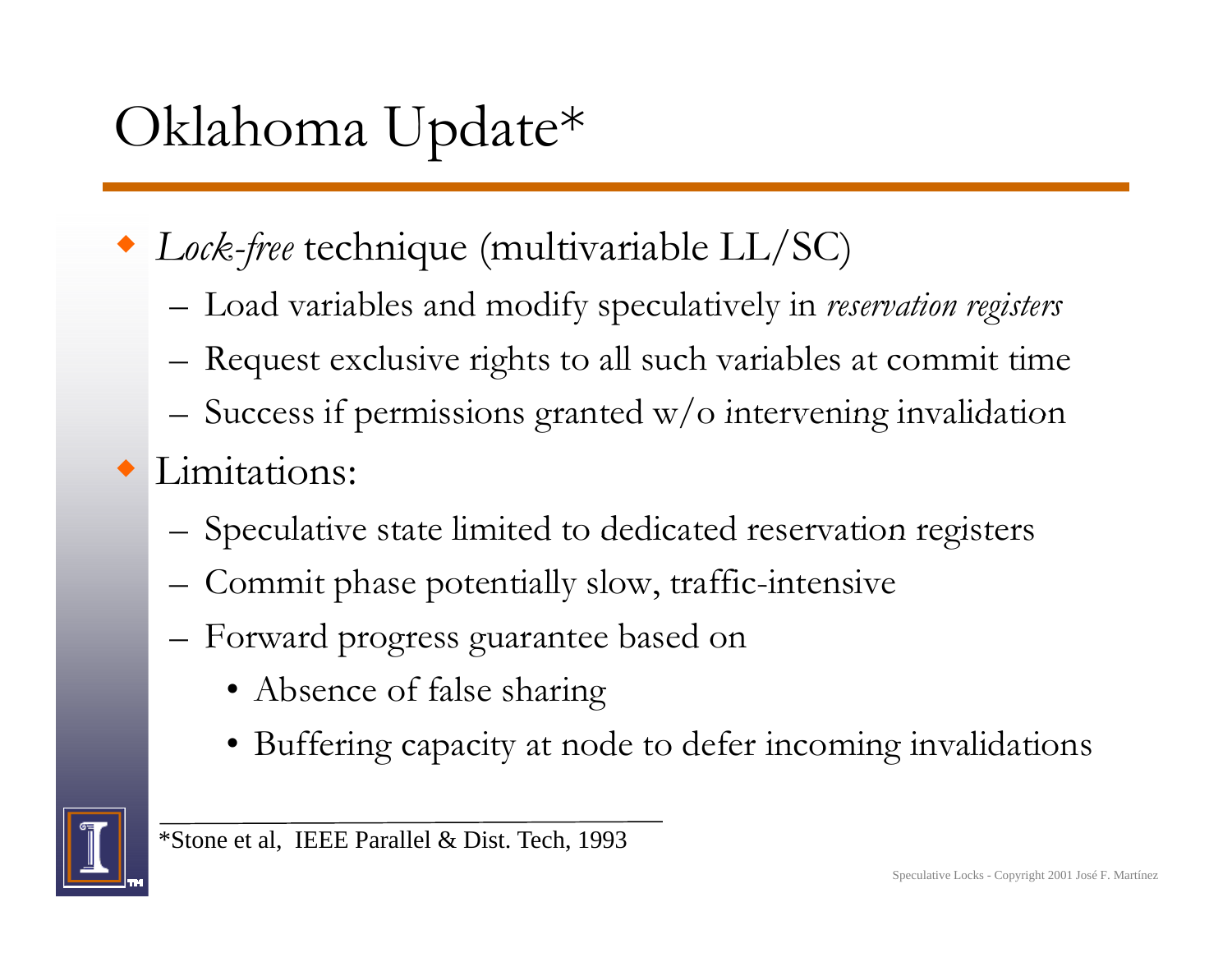# Oklahoma Update\*

- *Lock-free* technique (multivariable LL/SC)
	- $-$  Load variables and modify speculatively in *reservation registers*
	- –Request exclusive rights to all such variables at commit time
	- –Success if permissions granted w/o intervening invalidation
- Limitations:
	- –Speculative state limited to dedicated reservation registers
	- –Commit phase potentially slow, traffic-intensive
	- Forward progress guarantee based on
		- Absence of false sharing
		- Buffering capacity at node to defer incoming invalidations

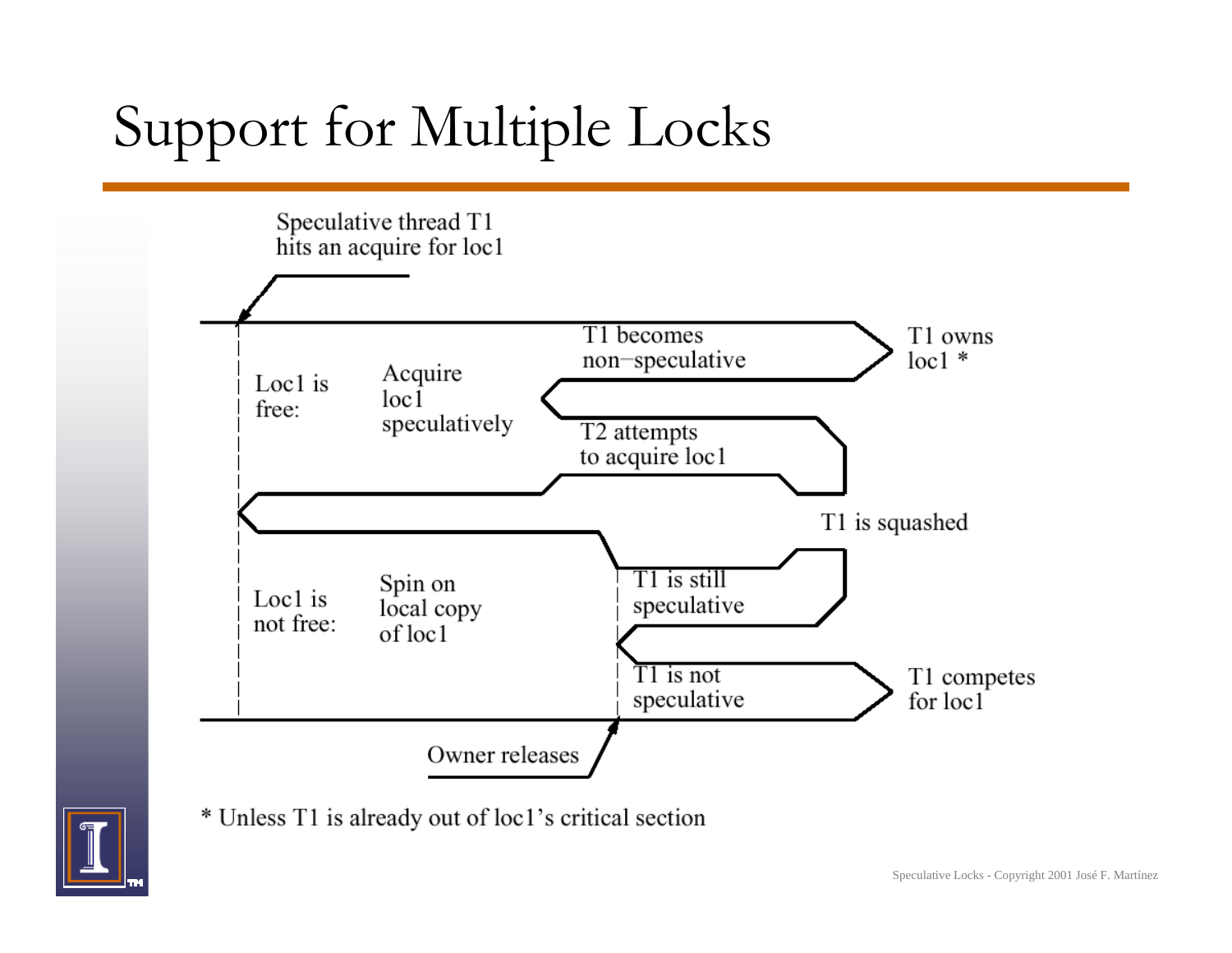# Support for Multiple Locks



\* Unless T1 is already out of loc1's critical section